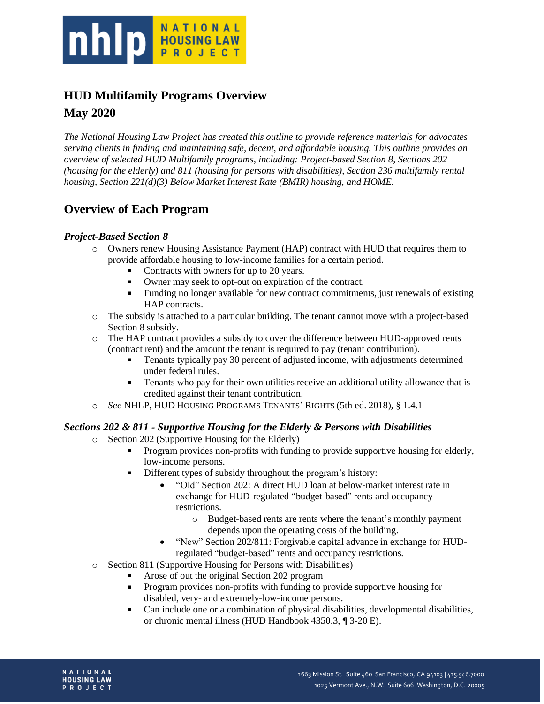

# **HUD Multifamily Programs Overview May 2020**

*The National Housing Law Project has created this outline to provide reference materials for advocates serving clients in finding and maintaining safe, decent, and affordable housing. This outline provides an overview of selected HUD Multifamily programs, including: Project-based Section 8, Sections 202 (housing for the elderly) and 811 (housing for persons with disabilities), Section 236 multifamily rental housing, Section 221(d)(3) Below Market Interest Rate (BMIR) housing, and HOME.*

# **Overview of Each Program**

### *Project-Based Section 8*

- o Owners renew Housing Assistance Payment (HAP) contract with HUD that requires them to provide affordable housing to low-income families for a certain period.
	- Contracts with owners for up to 20 years.
	- Owner may seek to opt-out on expiration of the contract.
	- Funding no longer available for new contract commitments, just renewals of existing a. HAP contracts.
- o The subsidy is attached to a particular building. The tenant cannot move with a project-based Section 8 subsidy.
- o The HAP contract provides a subsidy to cover the difference between HUD-approved rents (contract rent) and the amount the tenant is required to pay (tenant contribution).
	- $\blacksquare$ Tenants typically pay 30 percent of adjusted income, with adjustments determined under federal rules.
	- $\blacksquare$ Tenants who pay for their own utilities receive an additional utility allowance that is credited against their tenant contribution.
- o *See* NHLP, HUD HOUSING PROGRAMS TENANTS' RIGHTS (5th ed. 2018)*,* § 1.4.1

#### *Sections 202 & 811 - Supportive Housing for the Elderly & Persons with Disabilities*

- o Section 202 (Supportive Housing for the Elderly)
	- Program provides non-profits with funding to provide supportive housing for elderly, low-income persons.
	- Different types of subsidy throughout the program's history:
		- "Old" Section 202: A direct HUD loan at below-market interest rate in exchange for HUD-regulated "budget-based" rents and occupancy restrictions.
			- o Budget-based rents are rents where the tenant's monthly payment depends upon the operating costs of the building.
		- "New" Section 202/811: Forgivable capital advance in exchange for HUDregulated "budget-based" rents and occupancy restrictions.
- o Section 811 (Supportive Housing for Persons with Disabilities)
	- $\blacksquare$ Arose of out the original Section 202 program
	- Program provides non-profits with funding to provide supportive housing for disabled, very- and extremely-low-income persons.
	- Can include one or a combination of physical disabilities, developmental disabilities,  $\blacksquare$ or chronic mental illness (HUD Handbook 4350.3, ¶ 3-20 E).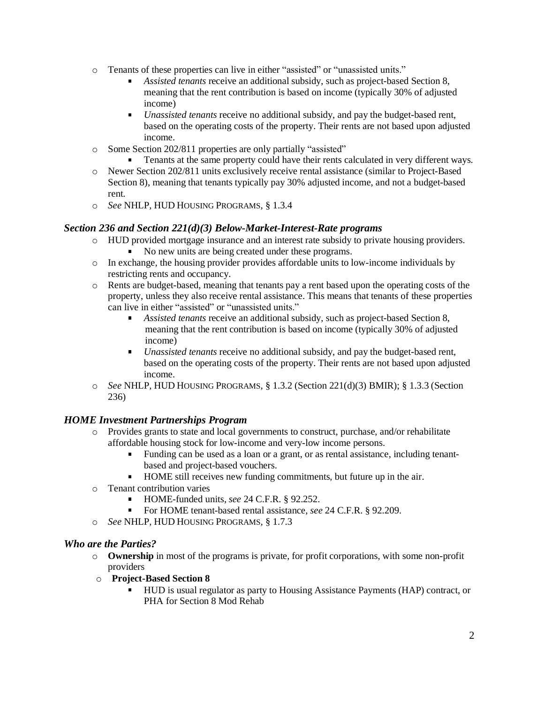- o Tenants of these properties can live in either "assisted" or "unassisted units."
	- *Assisted tenants* receive an additional subsidy, such as project-based Section 8, meaning that the rent contribution is based on income (typically 30% of adjusted income)
	- *Unassisted tenants* receive no additional subsidy, and pay the budget-based rent,  $\blacksquare$ based on the operating costs of the property. Their rents are not based upon adjusted income.
- o Some Section 202/811 properties are only partially "assisted"
	- Tenants at the same property could have their rents calculated in very different ways.
- o Newer Section 202/811 units exclusively receive rental assistance (similar to Project-Based Section 8), meaning that tenants typically pay 30% adjusted income, and not a budget-based rent.
- o *See* NHLP, HUD HOUSING PROGRAMS*,* § 1.3.4

#### *Section 236 and Section 221(d)(3) Below-Market-Interest-Rate programs*

- o HUD provided mortgage insurance and an interest rate subsidy to private housing providers.
	- No new units are being created under these programs.  $\blacksquare$
- o In exchange, the housing provider provides affordable units to low-income individuals by restricting rents and occupancy.
- o Rents are budget-based, meaning that tenants pay a rent based upon the operating costs of the property, unless they also receive rental assistance. This means that tenants of these properties can live in either "assisted" or "unassisted units."
	- *Assisted tenants* receive an additional subsidy, such as project-based Section 8, meaning that the rent contribution is based on income (typically 30% of adjusted income)
	- *Unassisted tenants* receive no additional subsidy, and pay the budget-based rent,  $\blacksquare$ based on the operating costs of the property. Their rents are not based upon adjusted income.
- o *See* NHLP, HUD HOUSING PROGRAMS*,* § 1.3.2 (Section 221(d)(3) BMIR); § 1.3.3 (Section 236)

### *HOME Investment Partnerships Program*

- o Provides grants to state and local governments to construct, purchase, and/or rehabilitate affordable housing stock for low-income and very-low income persons.
	- $\mathbf{r}$ Funding can be used as a loan or a grant, or as rental assistance, including tenantbased and project-based vouchers.
	- $\mathbf{u}$  . HOME still receives new funding commitments, but future up in the air.
- o Tenant contribution varies
	- HOME-funded units, *see* 24 C.F.R. § 92.252.
	- For HOME tenant-based rental assistance, *see* 24 C.F.R. § 92.209.
- o *See* NHLP, HUD HOUSING PROGRAMS*,* § 1.7.3

#### *Who are the Parties?*

- o **Ownership** in most of the programs is private, for profit corporations, with some non-profit providers
- o **Project-Based Section 8**
	- $\blacksquare$ HUD is usual regulator as party to Housing Assistance Payments (HAP) contract, or PHA for Section 8 Mod Rehab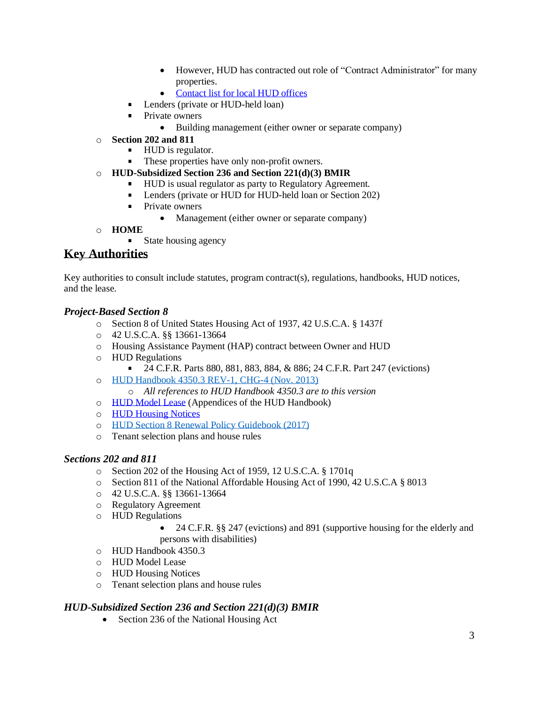- However, HUD has contracted out role of "Contract Administrator" for many properties.
- [Contact](https://www.hud.gov/program_offices/field_policy_mgt/localoffices) list for local HUD offices
- **Lenders (private or HUD-held loan)**
- $\mathbf{r}$ Private owners
	- Building management (either owner or separate company)
- o **Section 202 and 811**
	- HUD is regulator.
	- These properties have only non-profit owners.
- o **HUD-Subsidized Section 236 and Section 221(d)(3) BMIR**
	- **HUD** is usual regulator as party to Regulatory Agreement.
	- **Lenders (private or HUD for HUD-held loan or Section 202)**
	- **Private owners** 
		- Management (either owner or separate company)
- o **HOME**
	- **State housing agency**

# **Key Authorities**

Key authorities to consult include statutes, program contract(s), regulations, handbooks, HUD notices, and the lease.

#### *Project-Based Section 8*

- o Section 8 of United States Housing Act of 1937, 42 U.S.C.A. § 1437f
- o 42 U.S.C.A. §§ 13661-13664
- o Housing Assistance Payment (HAP) contract between Owner and HUD
- o HUD Regulations
	- 24 C.F.R. Parts 880, 881, 883, 884, & 886; 24 C.F.R. Part 247 (evictions)
- o [HUD Handbook](https://www.hud.gov/program_offices/administration/hudclips/handbooks/hsgh/4350.3) 4350.3 REV-1, CHG-4 (Nov. [2013\)](https://www.hud.gov/program_offices/administration/hudclips/handbooks/hsgh/4350.3)
	- o *All references to HUD Handbook 4350.3 are to this version*
- o [HUD Model Lease](https://www.hud.gov/program_offices/administration/hudclips/handbooks/hsgh/4350.3) (Appendices of the HUD Handbook)
- o HUD [Housing](https://www.hud.gov/program_offices/administration/hudclips/notices/hsg) Notices
- o [HUD Section](https://www.hud.gov/sites/documents/508FIN_CONSOL_GUIDE6_8_17.PDF) 8 Renewal Policy Guidebook (2017)
- o Tenant selection plans and house rules

#### *Sections 202 and 811*

- o Section 202 of the Housing Act of 1959, 12 U.S.C.A. § 1701q
- o Section 811 of the National Affordable Housing Act of 1990, 42 U.S.C.A § 8013
- o 42 U.S.C.A. §§ 13661-13664
- o Regulatory Agreement
- o HUD Regulations
	- 24 C.F.R. §§ 247 (evictions) and 891 (supportive housing for the elderly and persons with disabilities)
- o HUD Handbook 4350.3
- o HUD Model Lease
- o HUD Housing Notices
- o Tenant selection plans and house rules

#### *HUD-Subsidized Section 236 and Section 221(d)(3) BMIR*

• Section 236 of the National Housing Act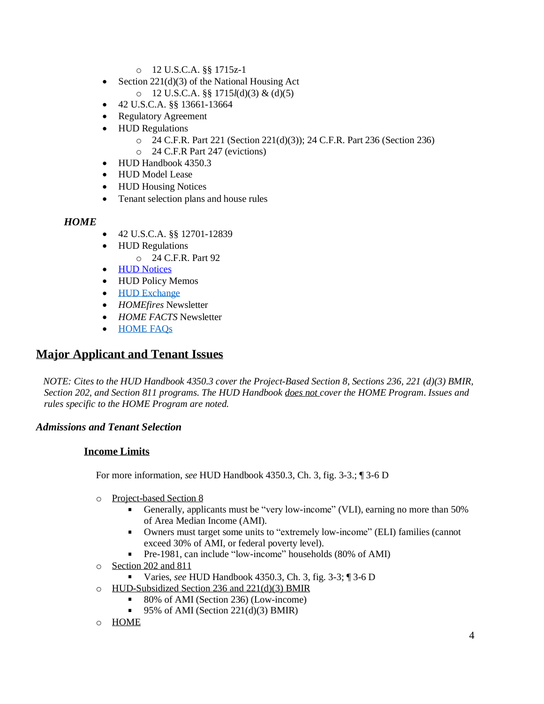- o 12 U.S.C.A. §§ 1715z-1
- Section 221(d)(3) of the National Housing Act o 12 U.S.C.A. §§ 1715*l*(d)(3) & (d)(5)
- 42 U.S.C.A. §§ 13661-13664
- Regulatory Agreement
- HUD Regulations
	- o 24 C.F.R. Part 221 (Section 221(d)(3)); 24 C.F.R. Part 236 (Section 236)
	- o 24 C.F.R Part 247 (evictions)
- HUD Handbook 4350.3
- HUD Model Lease
- HUD Housing Notices
- Tenant selection plans and house rules

#### *HOME*

- 42 U.S.C.A. §§ 12701-12839
	- HUD Regulations
		- o 24 C.F.R. Part 92
- HUD [Notices](https://www.hud.gov/program_offices/administration/hudclips/notices/cpd)
- HUD Policy Memos
- HUD [Exchange](https://www.hudexchange.info/programs/home/)
- *HOMEfires* Newsletter
- *HOME FACTS* Newsletter
- [HOME FAQs](https://www.hudexchange.info/resource/3318/home-faqs/)

### **Major Applicant and Tenant Issues**

*NOTE: Cites to the HUD Handbook 4350.3 cover the Project-Based Section 8, Sections 236, 221 (d)(3) BMIR, Section 202, and Section 811 programs. The HUD Handbook does not cover the HOME Program*. *Issues and rules specific to the HOME Program are noted.*

#### *Admissions and Tenant Selection*

#### **Income Limits**

For more information, *see* HUD Handbook 4350.3, Ch. 3, fig. 3-3.; ¶ 3-6 D

- o Project-based Section 8
	- Generally, applicants must be "very low-income" (VLI), earning no more than 50% of Area Median Income (AMI).
	- Owners must target some units to "extremely low-income" (ELI) families (cannot exceed 30% of AMI, or federal poverty level).
	- Pre-1981, can include "low-income" households (80% of AMI)
- o Section 202 and 811
	- Varies, *see* HUD Handbook 4350.3, Ch. 3, fig. 3-3; ¶ 3-6 D
- o HUD-Subsidized Section 236 and 221(d)(3) BMIR
	- 80% of AMI (Section 236) (Low-income)
	- 95% of AMI (Section 221(d)(3) BMIR)
- o HOME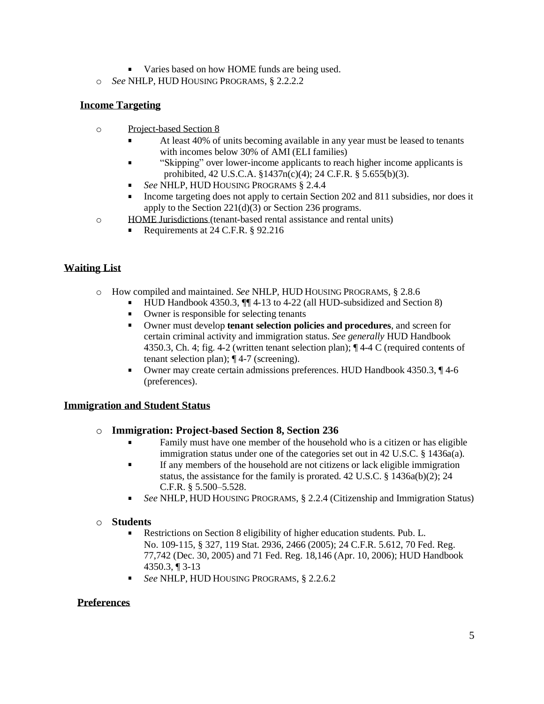- varies based on how HOME funds are being used.
- o *See* NHLP, HUD HOUSING PROGRAMS, § 2.2.2.2

#### **Income Targeting**

- o Project-based Section 8
	- At least 40% of units becoming available in any year must be leased to tenants with incomes below 30% of AMI (ELI families)
	- "Skipping" over lower-income applicants to reach higher income applicants is prohibited, 42 U.S.C.A. §1437n(c)(4); 24 C.F.R. § 5.655(b)(3).
	- *See* NHLP, HUD HOUSING PROGRAMS § 2.4.4
	- Income targeting does not apply to certain Section 202 and 811 subsidies, nor does it apply to the Section  $221(d)(3)$  or Section 236 programs.
- o HOME Jurisdictions (tenant-based rental assistance and rental units)
	- Requirements at 24 C.F.R. § 92.216

### **Waiting List**

- o How compiled and maintained. *See* NHLP, HUD HOUSING PROGRAMS*,* § 2.8.6
	- HUD Handbook 4350.3,  $\P\P$  4-13 to 4-22 (all HUD-subsidized and Section 8)  $\mathbf{u}$ 
		- $\mathbf{r}$ Owner is responsible for selecting tenants
		- $\mathbf{r}$ Owner must develop **tenant selection policies and procedures**, and screen for certain criminal activity and immigration status. *See generally* HUD Handbook 4350.3, Ch. 4; fig. 4-2 (written tenant selection plan); ¶ 4-4 C (required contents of tenant selection plan); ¶ 4-7 (screening).
		- Owner may create certain admissions preferences. HUD Handbook 4350.3, ¶ 4-6  $\blacksquare$ (preferences).

#### **Immigration and Student Status**

#### o **Immigration: Project-based Section 8, Section 236**

- Family must have one member of the household who is a citizen or has eligible immigration status under one of the categories set out in 42 U.S.C. § 1436a(a).
- If any members of the household are not citizens or lack eligible immigration status, the assistance for the family is prorated. 42 U.S.C. § 1436a(b)(2); 24 C.F.R. § 5.500–5.528.
- *See* NHLP, HUD HOUSING PROGRAMS, § 2.2.4 (Citizenship and Immigration Status)

#### o **Students**

- Restrictions on Section 8 eligibility of higher education students. Pub. L. No. 109-115, § 327, 119 Stat. 2936, 2466 (2005); 24 C.F.R. 5.612, 70 Fed. Reg. 77,742 (Dec. 30, 2005) and 71 Fed. Reg. 18,146 (Apr. 10, 2006); HUD Handbook 4350.3, ¶ 3-13
- *See* NHLP, HUD HOUSING PROGRAMS, § 2.2.6.2  $\mathbf{r}$

#### **Preferences**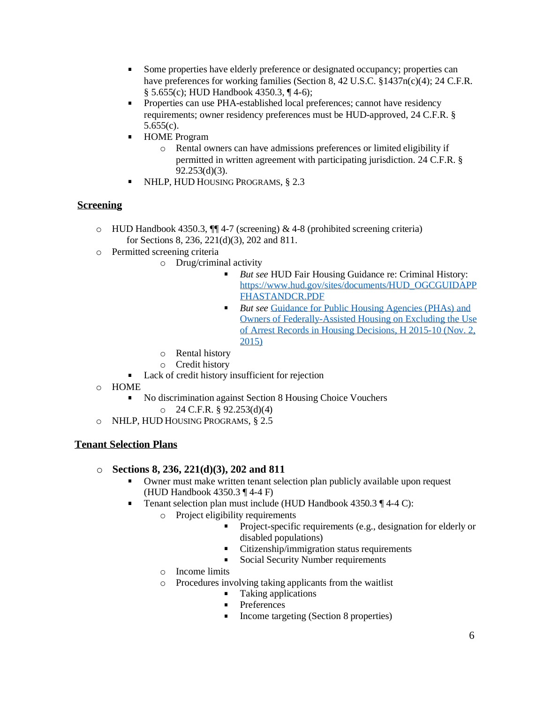- Some properties have elderly preference or designated occupancy; properties can  $\mathbf{r}$ have preferences for working families (Section 8, 42 U.S.C. §1437n(c)(4); 24 C.F.R. § 5.655(c); HUD Handbook 4350.3, ¶ 4-6);
- $\mathbf{r}$ Properties can use PHA-established local preferences; cannot have residency requirements; owner residency preferences must be HUD-approved, 24 C.F.R. § 5.655(c).
- **HOME** Program
	- o Rental owners can have admissions preferences or limited eligibility if permitted in written agreement with participating jurisdiction. 24 C.F.R. § 92.253(d)(3).
- **NHLP, HUD HOUSING PROGRAMS, § 2.3**

#### **Screening**

- o HUD Handbook 4350.3, ¶¶ 4-7 (screening) & 4-8 (prohibited screening criteria) for Sections 8, 236, 221(d)(3), 202 and 811.
- o Permitted screening criteria
	- o Drug/criminal activity
		- *But see* HUD Fair Housing Guidance re: Criminal History:  $\blacksquare$ [https://www.hud.gov/sites/documents/HUD\\_OGCGUIDAPP](https://www.hud.gov/sites/documents/HUD_OGCGUIDAPPFHASTANDCR.PDF) [FHASTANDCR.PDF](https://www.hud.gov/sites/documents/HUD_OGCGUIDAPPFHASTANDCR.PDF)
		- *But see* [Guidance](https://www.hud.gov/sites/documents/15-10HSGN.PDF) for Public Housing Agencies (PHAs) and Owners of [Federally-Assisted](https://www.hud.gov/sites/documents/15-10HSGN.PDF) Housing on Excluding the Use of Arrest Records [in Housing](https://www.hud.gov/sites/documents/15-10HSGN.PDF) Decisions, H 2015-10 (Nov. 2, [2015\)](https://www.hud.gov/sites/documents/15-10HSGN.PDF)
		- o Rental history
		- o Credit history
	- **Lack of credit history insufficient for rejection**
- o HOME
	- No discrimination against Section 8 Housing Choice Vouchers  $O$  24 C.F.R. § 92.253(d)(4)
- o NHLP, HUD HOUSING PROGRAMS, § 2.5

#### **Tenant Selection Plans**

#### o **Sections 8, 236, 221(d)(3), 202 and 811**

- Owner must make written tenant selection plan publicly available upon request (HUD Handbook 4350.3 ¶ 4-4 F)
- Tenant selection plan must include (HUD Handbook 4350.3 ¶ 4-4 C):
	- o Project eligibility requirements
		- Project-specific requirements (e.g., designation for elderly or disabled populations)
		- Citizenship/immigration status requirements  $\mathbf{u}$  .
		- Social Security Number requirements
		- o Income limits
		- o Procedures involving taking applicants from the waitlist
			- $\blacksquare$  Taking applications
			- **Preferences**
			- Income targeting (Section 8 properties)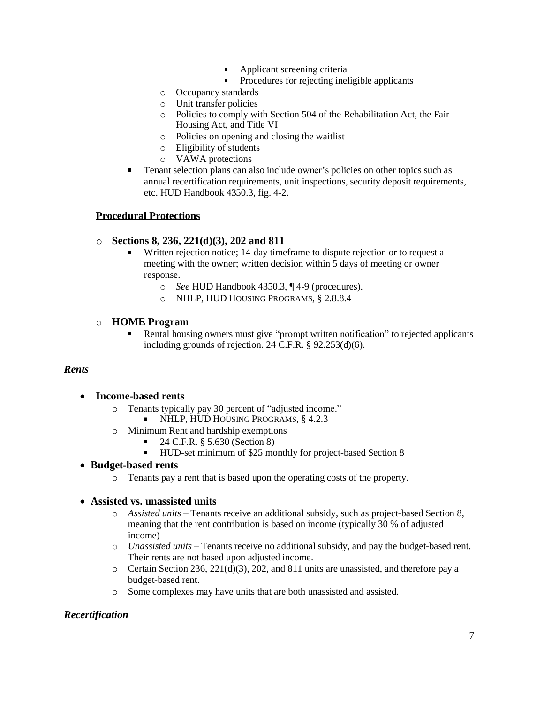- **Applicant screening criteria**
- Procedures for rejecting ineligible applicants
- o Occupancy standards
- o Unit transfer policies
- o Policies to comply with Section 504 of the Rehabilitation Act, the Fair Housing Act, and Title VI
- o Policies on opening and closing the waitlist
- o Eligibility of students
- o VAWA protections
- $\mathbf{u}$ Tenant selection plans can also include owner's policies on other topics such as annual recertification requirements, unit inspections, security deposit requirements, etc. HUD Handbook 4350.3, fig. 4-2.

#### **Procedural Protections**

#### o **Sections 8, 236, 221(d)(3), 202 and 811**

- Written rejection notice; 14-day timeframe to dispute rejection or to request a meeting with the owner; written decision within 5 days of meeting or owner response.
	- o *See* HUD Handbook 4350.3, ¶ 4-9 (procedures).
	- o NHLP, HUD HOUSING PROGRAMS, § 2.8.8.4

#### o **HOME Program**

 $\mathbf{r}$ Rental housing owners must give "prompt written notification" to rejected applicants including grounds of rejection. 24 C.F.R. § 92.253(d)(6).

#### *Rents*

- **Income-based rents**
	- o Tenants typically pay 30 percent of "adjusted income."
		- NHLP, HUD HOUSING PROGRAMS, § 4.2.3
	- o Minimum Rent and hardship exemptions
		- $\blacksquare$  24 C.F.R. § 5.630 (Section 8)
		- HUD-set minimum of \$25 monthly for project-based Section 8

#### • **Budget-based rents**

o Tenants pay a rent that is based upon the operating costs of the property.

#### • **Assisted vs. unassisted units**

- o *Assisted units* Tenants receive an additional subsidy, such as project-based Section 8, meaning that the rent contribution is based on income (typically 30 % of adjusted income)
- o *Unassisted units* Tenants receive no additional subsidy, and pay the budget-based rent. Their rents are not based upon adjusted income.
- $\circ$  Certain Section 236, 221(d)(3), 202, and 811 units are unassisted, and therefore pay a budget-based rent.
- o Some complexes may have units that are both unassisted and assisted.

#### *Recertification*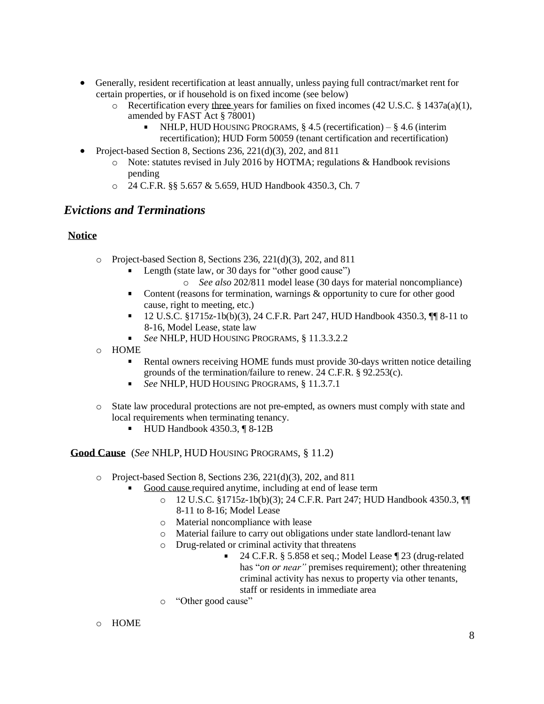- Generally, resident recertification at least annually, unless paying full contract/market rent for certain properties, or if household is on fixed income (see below)
	- $\circ$  Recertification every three years for families on fixed incomes (42 U.S.C. § 1437a(a)(1), amended by FAST Act § 78001)
		- NHLP, HUD HOUSING PROGRAMS, § 4.5 (recertification) § 4.6 (interim recertification); HUD Form 50059 (tenant certification and recertification)
- Project-based Section 8, Sections 236, 221(d)(3), 202, and 811
	- $\circ$  Note: statutes revised in July 2016 by HOTMA; regulations & Handbook revisions pending
	- o 24 C.F.R. §§ 5.657 & 5.659, HUD Handbook 4350.3, Ch. 7

### *Evictions and Terminations*

#### **Notice**

- o Project-based Section 8, Sections 236, 221(d)(3), 202, and 811
	- **Length (state law, or 30 days for "other good cause")** 
		- o *See also* 202/811 model lease (30 days for material noncompliance)
	- Content (reasons for termination, warnings & opportunity to cure for other good  $\mathbf{r}$ cause, right to meeting, etc.)
	- 12 U.S.C. §1715z-1b(b)(3), 24 C.F.R. Part 247, HUD Handbook 4350.3, ¶¶ 8-11 to 8-16, Model Lease, state law
	- *See* NHLP, HUD HOUSING PROGRAMS, § 11.3.3.2.2
- o HOME
	- Rental owners receiving HOME funds must provide 30-days written notice detailing grounds of the termination/failure to renew. 24 C.F.R. § 92.253(c).
	- *See NHLP, HUD HOUSING PROGRAMS, § 11.3.7.1*
- o State law procedural protections are not pre-empted, as owners must comply with state and local requirements when terminating tenancy.
	- $\blacksquare$  HUD Handbook 4350.3,  $\P$  8-12B

#### **Good Cause** (*See* NHLP, HUD HOUSING PROGRAMS, § 11.2)

- o Project-based Section 8, Sections 236, 221(d)(3), 202, and 811
	- Good cause required anytime, including at end of lease term
		- o 12 U.S.C. §1715z-1b(b)(3); 24 C.F.R. Part 247; HUD Handbook 4350.3, ¶¶ 8-11 to 8-16; Model Lease
		- o Material noncompliance with lease
		- o Material failure to carry out obligations under state landlord-tenant law
		- o Drug-related or criminal activity that threatens
			- $\blacksquare$ 24 C.F.R. § 5.858 et seq.; Model Lease ¶ 23 (drug-related has "*on or near"* premises requirement); other threatening criminal activity has nexus to property via other tenants, staff or residents in immediate area
		- o "Other good cause"
- o HOME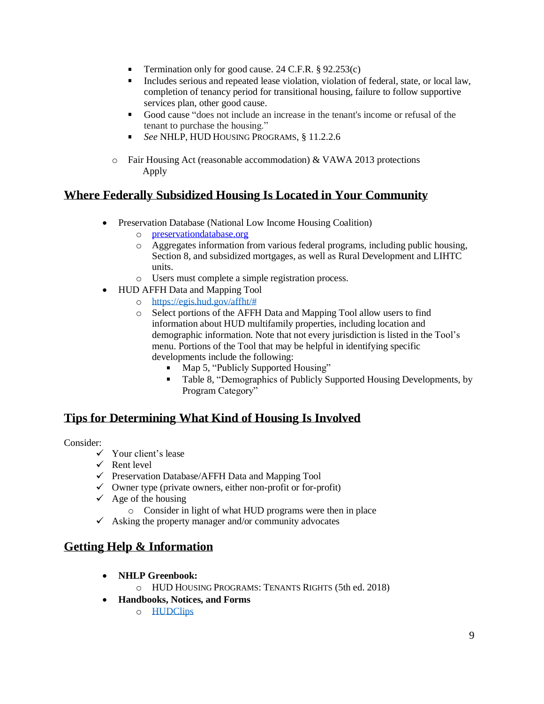- Termination only for good cause. 24 C.F.R. § 92.253(c)  $\mathbf{u}$
- $\mathbf{r}$ Includes serious and repeated lease violation, violation of federal, state, or local law, completion of tenancy period for transitional housing, failure to follow supportive services plan, other good cause.
- Good cause "does not include an increase in the tenant's income or refusal of the  $\mathbf{r}$ tenant to purchase the housing."
- *See* NHLP, HUD HOUSING PROGRAMS, § 11.2.2.6  $\blacksquare$
- o Fair Housing Act (reasonable accommodation) & VAWA 2013 protections Apply

# **Where Federally Subsidized Housing Is Located in Your Community**

- Preservation Database (National Low Income Housing Coalition)
	- o [preservationdatabase.org](http://preservationdatabase.org/)
	- o Aggregates information from various federal programs, including public housing, Section 8, and subsidized mortgages, as well as Rural Development and LIHTC units.
	- o Users must complete a simple registration process.
- HUD AFFH Data and Mapping Tool
	- o [https://egis.hud.gov/affht/#](https://egis.hud.gov/affht/)
	- o Select portions of the AFFH Data and Mapping Tool allow users to find information about HUD multifamily properties, including location and demographic information. Note that not every jurisdiction is listed in the Tool's menu. Portions of the Tool that may be helpful in identifying specific developments include the following:
		- Map 5, "Publicly Supported Housing"
		- Table 8, "Demographics of Publicly Supported Housing Developments, by Program Category"

# **Tips for Determining What Kind of Housing Is Involved**

Consider:

- $\checkmark$  Your client's lease
- $\checkmark$  Rent level
- $\checkmark$  Preservation Database/AFFH Data and Mapping Tool
- $\checkmark$  Owner type (private owners, either non-profit or for-profit)
- $\checkmark$  Age of the housing
	- o Consider in light of what HUD programs were then in place
- $\checkmark$  Asking the property manager and/or community advocates

# **Getting Help & Information**

- **NHLP Greenbook:**
	- o HUD HOUSING PROGRAMS: TENANTS RIGHTS (5th ed. 2018)
- **Handbooks, Notices, and Forms**
	- o [HUDClips](https://www.hud.gov/program_offices/administration/hudclips)